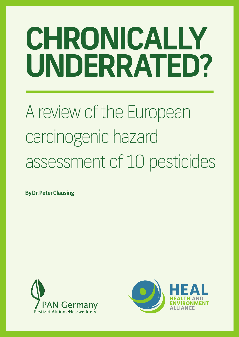# **CHRONICALLY UNDERRATED?**

## A review of the European carcinogenic hazard assessment of 10 pesticides

**By Dr. Peter Clausing**



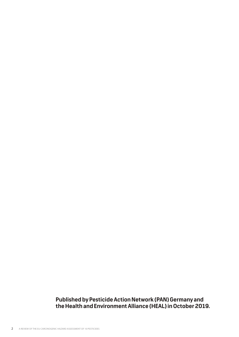**Published by Pesticide Action Network (PAN) Germany and the Health and Environment Alliance (HEAL) in October 2019.**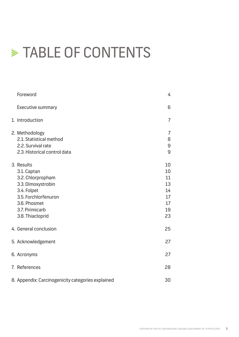## **≥ TABLE OF CONTENTS**

| Foreword                                                                                                                                                           | $\overline{4}$                                     |
|--------------------------------------------------------------------------------------------------------------------------------------------------------------------|----------------------------------------------------|
| <b>Executive summary</b>                                                                                                                                           | 6                                                  |
| 1. Introduction                                                                                                                                                    | $\overline{7}$                                     |
| 2. Methodology<br>2.1. Statistical method<br>2.2. Survival rate<br>2.3. Historical control data                                                                    | $\overline{7}$<br>8<br>9<br>9                      |
| 3. Results<br>3.1. Captan<br>3.2. Chlorpropham<br>3.3. Dimoxystrobin<br>3.4. Folpet<br>3.5. Forchlorfenuron<br>3.6. Phosmet<br>3.7. Pirimicarb<br>3.8. Thiacloprid | 10<br>10<br>11<br>13<br>14<br>17<br>17<br>19<br>23 |
| 4. General conclusion                                                                                                                                              | 25                                                 |
| 5. Acknowledgement                                                                                                                                                 | 27                                                 |
| 6. Acronyms                                                                                                                                                        | 27                                                 |
| 7. References                                                                                                                                                      | 28                                                 |
| 8. Appendix: Carcinogenicity categories explained                                                                                                                  | 30                                                 |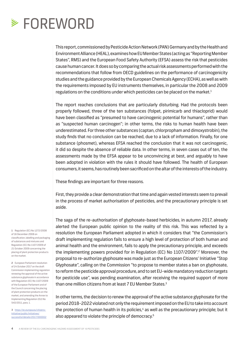## *V* FOREWORD

This report, commissioned by Pesticide Action Network (PAN) Germany and by the Health and Environment Alliance (HEAL), examines how EU Member States (acting as "Reporting Member States", RMS) and the European Food Safety Authority (EFSA) assess the risk that pesticides cause human cancer. It does so by comparing the actual risk assessments performed with the recommendations that follow from OECD guidelines on the performance of carcinogenicity studies and the guidance provided by the European Chemicals Agency (ECHA), as well as with the requirements imposed by EU instruments themselves, in particular the 2008 and 2009 regulations on the conditions under which pesticides can be placed on the market.<sup>1</sup>

The report reaches conclusions that are particularly disturbing. Had the protocols been properly followed, three of the ten substances (folpet, pirimicarb and thiacloprid) would have been classified as "presumed to have carcinogenic potential for humans", rather than as "suspected human carcinogen"; in other terms, the risks to human health have been underestimated. For three other substances (captan, chlorpropham and dimoxystrobin), the study finds that no conclusion can be reached, due to a lack of information. Finally, for one substance (phosmet), whereas EFSA reached the conclusion that it was not carcinogenic, it did so despite the absence of reliable data. In other terms, in seven cases out of ten, the assessments made by the EFSA appear to be unconvincing at best, and arguably to have been adopted in violation with the rules it should have followed. The health of European consumers, it seems, has routinely been sacrificed on the altar of the interests of the industry.

These findings are important for three reasons.

First, they provide a clear demonstration that time and again vested interests seem to prevail in the process of market authorisation of pesticides, and the precautionary principle is set aside.

The saga of the re-authorisation of glyphosate-based herbicides, in autumn 2017, already alerted the European public opinion to the reality of this risk. This was reflected by a resolution the European Parliament adopted in which it considers that "the Commission's draft implementing regulation fails to ensure a high level of protection of both human and animal health and the environment, fails to apply the precautionary principle, and exceeds the implementing powers provided for in Regulation (EC) No 1107/2009".2 Moreover, the proposal to re-authorize glyphosate was made just as the European Citizens' Initiative "Stop Glyphosate", calling on the Commission "to propose to member states a ban on glyphosate, to reform the pesticide approval procedure, and to set EU-wide mandatory reduction targets for pesticide use", was pending examination, after receiving the required support of more than one million citizens from at least 7 EU Member States.3

In other terms, the decision to renew the approval of the active substance glyphosate for the period 2018-2022 violated not only the requirement imposed on the EU to take into account the protection of human health in its policies,<sup>4</sup> as well as the precautionary principle; but it also appeared to violate the principle of democracy.5

**1** Regulation (EC) No 1272/2008 of 16 December 2008 on classification, labelling and packaging of substances and mixtures and Regulation (EC) No 1107/2009 of 21 October 2009 concerning the placing of plant protection products on the market.

**2** European Parliament resolution of 24 October 2017 on the draft Commission implementing regulation renewing the approval of the active substance glyphosate in accordance with Regulation (EC) No 1107/2009 of the European Parliament and of the Council concerning the placing of plant protection products on the market, and amending the Annex to Implementing Regulation (EU) No 540/2011, para. 1.

**3** https://ec.europa.eu/citizensinitiative/public/initiatives/ successful/details/2017/000002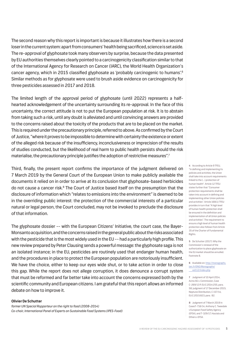The second reason why this report is important is because it illustrates how there is a second loser in the current system: apart from consumers' health being sacrificed, science is set aside. The re-approval of glyphosate took many observers by surprise, because the data presented by EU authorities themselves clearly pointed to a carcinogenicity classification similar to that of the International Agency for Research on Cancer (IARC), the World Health Organization's cancer agency, which in 2015 classified glyphosate as 'probably carcinogenic to humans'.6 Similar methods as for glyphosate were used to brush aside evidence on carcinogenicity for three pesticides assessed in 2017 and 2018.

The limited length of the approval period of glyphosate (until 2022) represents a halfhearted acknowledgement of the uncertainty surrounding its re-approval. In the face of this uncertainty, the correct attitude is not to put the European population at risk. It is to abstain from taking such a risk, until any doubt is alleviated and until convincing answers are provided to the concerns raised about the toxicity of the products that are to be placed on the market. This is required under the precautionary principle, referred to above. As confirmed by the Court of Justice, "where it proves to be impossible to determine with certainty the existence or extent of the alleged risk because of the insufficiency, inconclusiveness or imprecision of the results of studies conducted, but the likelihood of real harm to public health persists should the risk materialise, the precautionary principle justifies the adoption of restrictive measures".<sup>7</sup> i.

Third, finally, the present report confirms the importance of the judgment delivered on 7 March 2019 by the General Court of the European Union to make publicly available the documents it relied on in order to arrive at its conclusion that glyphosate-based herbicides do not cause a cancer risk.<sup>8</sup> The Court of Justice based itself on the presumption that the disclosure of information which "relates to emissions into the environment" is deemed to be in the overriding public interest: the protection of the commercial interests of a particular natural or legal person, the Court concluded, may not be invoked to preclude the disclosure of that information.

The glyphosate dossier -- with the European Citizens' Initiative, the court case, the Bayer-Monsanto acquisition, and the concerns raised in the general public about the risks associated with the pesticide that is the most widely used in the EU -- had a particularly high profile. This new review prepared by Peter Clausing sends a powerful message: the glyphosate saga is not an isolated instance; in the EU, pesticides are routinely used that endanger human health, and the procedures in place to protect the European population are notoriously insufficient. We have the choice, either to keep our eyes wide shut, or to take action in order to close this gap. While the report does not allege corruption, it does denounce a corrupt system that must be reformed and far better take into account the concerns expressed both by the scientific community and European citizens. I am grateful that this report allows an informed debate on how to improve it.

#### **Olivier De Schutter**

*former UN Special Rapporteur on the right to food (2008-2014) Co-chair, International Panel of Experts on Sustainable Food Systems (IPES-Food)* 

**4** According to Article 9 TFEU, "In defining and implementing its policies and activities, the Union shall take into account requirements linked to the (…) protection of human health". Article 12 TFEU states further that "Consumer protection requirements shall be taken into account in defining and implementing other Union policies and activities". Article 168(1) TFEU provides in turn that "A high level of human health protection shall be ensured in the definition and implementation of all Union policies and activities". The requirement to ensure a high level of human health protection also follows from Article 35 of the Charter of Fundamental Rights.

**5** De Schutter (2017): Why the Commission's renewal of the authorization to place glyphosate on the EU market should be annulled. Footnote 8.

#### **6** Available on: http://monographs. iarc.fr/FNG/Monographs/ vol112/index.php

**7** Judgment of 10 April 2014, Acino AG v. Commission, Case C-269/13 P, EU:C:2014:255, para. 58; judgment of 17 December 2015, Neptune Distribution, C 157/14, EU:C:2015:823, para. 82.

**8** Judgment of 7 March 2019 in CasesT-716/14, Anthony C. Tweedale v European Food Safety Agency (EFSA), and T-329/17, Hautala and Others v EFSA.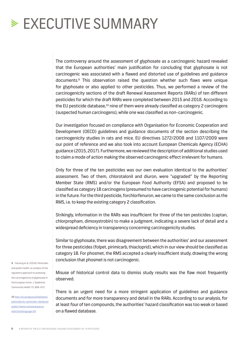## **EXECUTIVE SUMMARY**

The controversy around the assessment of glyphosate as a carcinogenic hazard revealed that the European authorities' main justification for concluding that glyphosate is not carcinogenic was associated with a flawed and distorted use of guidelines and guidance documents.9 This observation raised the question whether such flaws were unique for glyphosate or also applied to other pesticides. Thus, we performed a review of the carcinogenicity sections of the draft Renewal Assessment Reports (RARs) of ten different pesticides for which the draft RARs were completed between 2015 and 2018. According to the EU pesticide database,<sup>10</sup> nine of them were already classified as category 2 carcinogens (suspected human carcinogens), while one was classified as non-carcinogenic.

Our investigation focused on compliance with Organisation for Economic Cooperation and Development (OECD) guidelines and guidance documents of the section describing the carcinogenicity studies in rats and mice. EU directives 1272/2008 and 1107/2009 were our point of reference and we also took into account European Chemicals Agency (ECHA) guidance (2015, 2017). Furthermore, we reviewed the description of additional studies used to claim a mode of action making the observed carcinogenic effect irrelevant for humans.

Only for three of the ten pesticides was our own evaluation identical to the authorities' assessment. Two of them, chlorotalonil and diuron, were "upgraded" by the Reporting Member State (RMS) and/or the European Food Authority (EFSA) and proposed to be classified as category 1B carcinogens (presumed to have carcinogenic potential for humans) in the future. For the third pesticide, forchlorfenuron, we came to the same conclusion as the RMS, i.e. to keep the existing category 2 classification.

Strikingly, information in the RARs was insufficient for three of the ten pesticides (captan, chlorpropham, dimoxystrobin) to make a judgment, indicating a severe lack of detail and a widespread deficiency in transparency concerning carcinogenicity studies.

Similar to glyphosate, there was disagreement between the authorities' and our assessment for three pesticides (folpet, pirimicarb, thiacloprid), which in our view should be classified as category 1B. For phosmet, the RMS accepted a clearly insufficient study, drawing the wrong conclusion that phosmet is not carcinogenic.

Misuse of historical control data to dismiss study results was the flaw most frequently observed.

There is an urgent need for a more stringent application of guidelines and guidance documents and for more transparency and detail in the RARs. According to our analysis, for at least four of ten compounds, the authorities' hazard classification was too weak or based on a flawed database.

**9** Clausing et al. (2018): Pesticides and public health: an analysis of the regulatory approach to assessing the carcinogenicity of glyphosate in the European Union. J. Epidemiol. Community Health 72, 668–672.

**10** http://ec.europa.eu/food/plant/ pesticides/eu-pesticides-database/ public/?event=activesubstance. selection&language=EN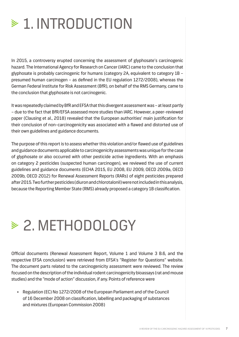## **≥ 1. INTRODUCTION**

In 2015, a controversy erupted concerning the assessment of glyphosate's carcinogenic hazard. The International Agency for Research on Cancer (IARC) came to the conclusion that glyphosate is probably carcinogenic for humans (category 2A, equivalent to category 1B – presumed human carcinogen – as defined in the EU regulation 1272/2008), whereas the German Federal Institute for Risk Assessment (BfR), on behalf of the RMS Germany, came to the conclusion that glyphosate is not carcinogenic.

It was repeatedly claimed by BfR and EFSA that this divergent assessment was – at least partly – due to the fact that BfR/EFSA assessed more studies than IARC. However, a peer-reviewed paper (Clausing et al., 2018) revealed that the European authorities' main justification for their conclusion of non-carcinogenicity was associated with a flawed and distorted use of their own guidelines and guidance documents.

The purpose of this report is to assess whether this violation and/or flawed use of guidelines and guidance documents applicable to carcinogenicity assessments was unique for the case of glyphosate or also occurred with other pesticide active ingredients. With an emphasis on category 2 pesticides (suspected human carcinogen), we reviewed the use of current guidelines and guidance documents (ECHA 2015, EU 2008, EU 2009, OECD 2009a, OECD 2009b, OECD 2012) for Renewal Assessment Reports (RARs) of eight pesticides prepared after 2015. Two further pesticides (diuron and chlorotalonil) were not included in this analysis, because the Reporting Member State (RMS) already proposed a category 1B classification.

## **≥ 2. METHODOLOGY**

Official documents (Renewal Assessment Report, Volume 1 and Volume 3 B.6, and the respective EFSA conclusion) were retrieved from EFSA's "Register for Questions" website. The document parts related to the carcinogenicity assessment were reviewed. The review focused on the description of the individual rodent carcinogenicity bioassays (rat and mouse studies) and the "mode of action" discussion, if any. Points of reference were

• Regulation (EC) No 1272/2008 of the European Parliament and of the Council of 16 December 2008 on classification, labelling and packaging of substances and mixtures (European Commission 2008)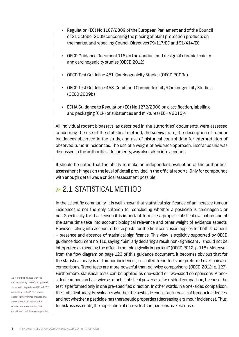- Regulation (EC) No 1107/2009 of the European Parliament and of the Council of 21 October 2009 concerning the placing of plant protection products on the market and repealing Council Directives 79/117/EC and 91/414/EC
- OECD Guidance Document 116 on the conduct and design of chronic toxicity and carcinogenicity studies (OECD 2012)
- OECD Test Guideline 451, Carcinogenicity Studies (OECD 2009a)
- OECD Test Guideline 453, Combined Chronic Toxicity/Carcinogenicity Studies (OECD 2009b)
- ECHA Guidance to Regulation (EC) No 1272/2008 on classification, labelling and packaging (CLP) of substances and mixtures (ECHA 2015)<sup>11</sup>

All individual rodent bioassays, as described in the authorities' documents, were assessed concerning the use of the statistical method, the survival rate, the description of tumour incidences observed in the study, and use of historical control data for interpretation of observed tumour incidences. The use of a weight of evidence approach, insofar as this was discussed in the authorities' documents, was also taken into account.

It should be noted that the ability to make an independent evaluation of the authorities' assessment hinges on the level of detail provided in the official reports. Only for compounds with enough detail was a critical assessment possible.

### **≥ 2.1. STATISTICAL METHOD**

In the scientific community, it is well known that statistical significance of an increase tumour incidences is not the only criterion for concluding whether a pesticide is carcinogenic or not. Specifically for that reason it is important to make a proper statistical evaluation and at the same time take into account biological relevance and other weight of evidence aspects. However, taking into account other aspects for the final conclusion applies for both situations – presence and absence of statistical significance. This view is explicitly supported by OECD guidance document no. 116, saying, "Similarly declaring a result non-significant … should not be interpreted as meaning the effect is not biologically important" (OECD 2012, p. 118). Moreover, from the flow diagram on page 123 of this guidance document, it becomes obvious that for the statistical analysis of tumour incidences, so-called trend tests are preferred over pairwise comparisons. Trend tests are more powerful than pairwise comparisons (OECD 2012, p. 127). Furthermore, statistical tests can be applied as one-sided or two-sided comparisons. A onesided comparison has twice as much statistical power as a two-sided comparison, because the test is performed only in one pre-specified direction. In other words, in a one-sided comparison, the statistical analysis evaluates whether the pesticide causes an increase of tumour incidences, and not whether a pesticide has therapeutic properties (decreasing a tumour incidence). Thus, for risk assessments, the application of one-sided comparisons makes sense.

**11** It should be noted that the carcinogenicity part of the updated version of this guidance (ECHA 2017) is identical to the 2015 version, except for very minor changes and a new section on classification of substances containing CMR constituents, additives or impurities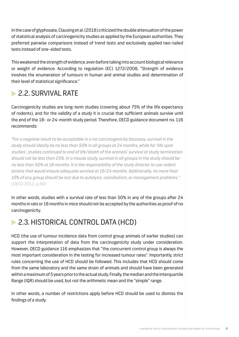In the case of glyphosate, Clausing et al. (2018) criticized the double attenuation of the power of statistical analysis of carcinogenicity studies as applied by the European authorities. They preferred pairwise comparisons instead of trend tests and exclusively applied two-tailed tests instead of one-sided tests.

This weakened the strength of evidence, even before taking into account biological relevance or weight of evidence. According to regulation (EC) 1272/2008, "Strength of evidence involves the enumeration of tumours in human and animal studies and determination of their level of statistical significance."

## $\geqslant$  2.2. SURVIVAL RATE

Carcinogenicity studies are long-term studies (covering about 75% of the life expectancy of rodents), and for the validity of a study it is crucial that sufficient animals survive until the end of the 18- or 24-month study period. Therefore, OECD guidance document no. 116 recommends:

*"For a negative result to be acceptable in a rat carcinogenicity bioassay, survival in the study should ideally be no less than 50% in all groups at 24 months, while for 'life span studies', studies continued to end of life/death of the animals' survival at study termination should not be less than 25%. In a mouse study, survival in all groups in the study should be no less than 50% at 18 months. It is the responsibility of the study director to use rodent strains that would ensure adequate survival at 18/24 months. Additionally, no more than 10% of any group should be lost due to autolysis, cannibalism, or management problems." (OECD 2012, p.80)*

In other words, studies with a survival rate of less than 50% in any of the groups after 24 months in rats or 18 months in mice should not be accepted by the authorities as proof of no carcinogenicity.

### **2.3. HISTORICAL CONTROL DATA (HCD)**

HCD (the use of tumour incidence data from control group animals of earlier studies) can support the interpretation of data from the carcinogenicity study under consideration. However, OECD guidance 116 emphasizes that "the concurrent control group is always the most important consideration in the testing for increased tumour rates". Importantly, strict rules concerning the use of HCD should be followed. This includes that HCD should come from the same laboratory and the same strain of animals and should have been generated within a maximum of 5 years prior to the actual study. Finally, the median and the Interquartile Range (IQR) should be used, but not the arithmetic mean and the "simple" range.

In other words, a number of restrictions apply before HCD should be used to dismiss the findings of a study.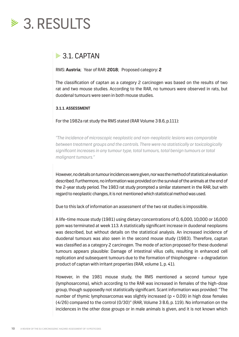## **≥ 3. RESULTS**

### $\geqslant$  3.1. CAPTAN

#### RMS: **Austria**; Year of RAR: **2018**; Proposed category: **2**

The classification of captan as a category 2 carcinogen was based on the results of two rat and two mouse studies. According to the RAR, no tumours were observed in rats, but duodenal tumours were seen in both mouse studies.

#### **3.1.1. ASSESSMENT**

For the 1982a rat study the RMS stated (RAR Volume 3 B.6, p.111):

*"The incidence of microscopic neoplastic and non-neoplastic lesions was comparable between treatment groups and the controls. There were no statistically or toxicologically significant increases in any tumour type, total tumours, total benign tumours or total malignant tumours."* 

However, no details on tumour incidences were given, nor was the method of statistical evaluation described. Furthermore, no information was provided on the survival of the animals at the end of the 2-year study period. The 1983 rat study prompted a similar statement in the RAR, but with regard to neoplastic changes, it is not mentioned which statistical method was used.

Due to this lack of information an assessment of the two rat studies is impossible.

A life-time mouse study (1981) using dietary concentrations of 0, 6,000, 10,000 or 16,000 ppm was terminated at week 113. A statistically significant increase in duodenal neoplasms was described, but without details on the statistical analysis. An increased incidence of duodenal tumours was also seen in the second mouse study (1983). Therefore, captan was classified as a category 2 carcinogen. The mode of action proposed for these duodenal tumours appears plausible: Damage of intestinal villus cells, resulting in enhanced cell replication and subsequent tumours due to the formation of thiophosgene – a degradation product of captan with irritant properties (RAR, volume 1, p. 41).

However, in the 1981 mouse study, the RMS mentioned a second tumour type (lymphosarcoma), which according to the RAR was increased in females of the high-dose group, though supposedly not statistically significant. Scant information was provided: "The number of thymic lymphosarcomas was slightly increased (p < 0.09) in high dose females (4/26) compared to the control (0/30)" (RAR, Volume 3 B.6, p. 119). No information on the incidences in the other dose groups or in male animals is given, and it is not known which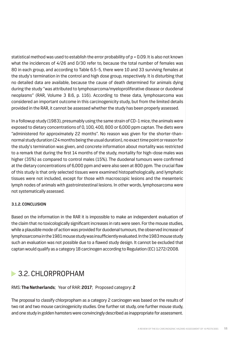statistical method was used to establish the error probability of p < 0.09. It is also not known what the incidences of 4/26 and 0/30 refer to, because the total number of females was 80 in each group, and according to Table 6.5-5, there were 10 and 33 surviving females at the study's termination in the control and high dose group, respectively. It is disturbing that no detailed data are available, because the cause of death determined for animals dying during the study "was attributed to lymphosarcoma/myeloproliferative disease or duodenal neoplasms" (RAR, Volume 3 B.6, p. 116). According to these data, lymphosarcoma was considered an important outcome in this carcinogenicity study, but from the limited details provided in the RAR, it cannot be assessed whether the study has been properly assessed.

In a followup study (1983), presumably using the same strain of CD-1 mice, the animals were exposed to dietary concentrations of 0, 100, 400, 800 or 6,000 ppm captan. The diets were "administered for approximately 22 months". No reason was given for the shorter-thannormal study duration (24 months being the usual duration), no exact time point or reason for the study's termination was given, and concrete information about mortality was restricted to a remark that during the first 14 months of the study, mortality for high-dose males was higher (35%) as compared to control males (15%). The duodenal tumours were confirmed at the dietary concentrations of 6,000 ppm and were also seen at 800 ppm. The crucial flaw of this study is that only selected tissues were examined histopathologically, and lymphatic tissues were not included, except for those with macroscopic lesions and the mesenteric lymph nodes of animals with gastroinstestinal lesions. In other words, lymphosarcoma were not systematically assessed.

#### **3.1.2. CONCLUSION**

Based on the information in the RAR it is impossible to make an independent evaluation of the claim that no toxicologically significant increases in rats were seen. For the mouse studies, while a plausible mode of action was provided for duodenal tumours, the observed increase of lymphosarcoma in the 1981 mouse study was insufficiently evaluated. In the 1983 mouse study such an evaluation was not possible due to a flawed study design. It cannot be excluded that captan would qualify as a category 1B carcinogen according to Regulation (EC) 1272/2008.

### $\geqslant$  3.2. CHI ORPROPHAM

#### RMS: **The Netherlands**; Year of RAR: **2017**; Proposed category: **2**

The proposal to classify chlorpropham as a category 2 carcinogen was based on the results of two rat and two mouse carcinogenicity studies. One further rat study, one further mouse study, and one study in golden hamsters were convincingly described as inappropriate for assessment.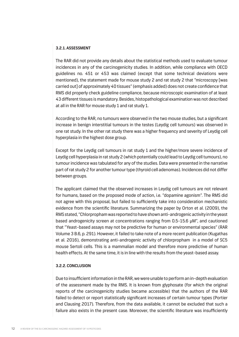#### **3.2.1. ASSESSMENT**

The RAR did not provide any details about the statistical methods used to evaluate tumour incidences in any of the carcinogenicity studies. In addition, while compliance with OECD guidelines no. 451 or 453 was claimed (except that some technical deviations were mentioned), the statement made for mouse study 2 and rat study 2 that "microscopy [was carried out] of approximately 40 tissues" (emphasis added) does not create confidence that RMS did properly check guideline compliance, because microscopic examination of at least 43 different tissues is mandatory. Besides, histopathological examination was not described at all in the RAR for mouse study 1 and rat study 1.

According to the RAR, no tumours were observed in the two mouse studies, but a significant increase in benign interstitial tumours in the testes (Leydig cell tumours) was observed in one rat study. In the other rat study there was a higher frequency and severity of Leydig cell hyperplasia in the highest dose group.

Except for the Leydig cell tumours in rat study 1 and the higher/more severe incidence of Leydig cell hyperplasia in rat study 2 (which potentially could lead to Leydig cell tumours), no tumour incidence was tabulated for any of the studies. Data were presented in the narrative part of rat study 2 for another tumour type (thyroid cell adenomas). Incidences did not differ between groups.

The applicant claimed that the observed increases in Leydig cell tumours are not relevant for humans, based on the proposed mode of action, i.e. "dopamine agonism". The RMS did not agree with this proposal, but failed to sufficiently take into consideration mechanistic evidence from the scientific literature. Summarizing the paper by Orton et al. (2009), the RMS stated, "Chlorpropham was reported to have shown anti-androgenic activity in the yeast based androgenicity screen at concentrations ranging from 0.5-15.6 μM", and cautioned that "Yeast-based assays may not be predictive for human or environmental species" (RAR Volume 3 B.6, p. 291). However, it failed to take note of a more recent publication (Kugathas et al. 2016), demonstrating anti-androgenic activity of chlorpropham in a model of SC5 mouse Sertoli cells. This is a mammalian model and therefore more predictive of human health effects. At the same time, it is in line with the results from the yeast-based assay.

#### **3.2.2. CONCLUSION**

Due to insufficient information in the RAR, we were unable to perform an in-depth evaluation of the assessment made by the RMS. It is known from glyphosate (for which the original reports of the carcinogenicity studies became accessible) that the authors of the RAR failed to detect or report statistically significant increases of certain tumour types (Portier and Clausing 2017). Therefore, from the data available, it cannot be excluded that such a failure also exists in the present case. Moreover, the scientific literature was insufficiently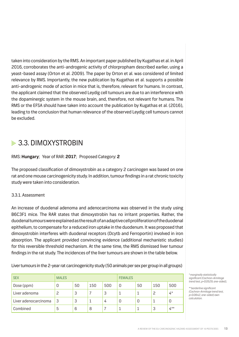taken into consideration by the RMS. An important paper published by Kugathas et al. in April 2016, corroborates the anti-androgenic activity of chlorpropham described earlier, using a yeast-based assay (Orton et al. 2009). The paper by Orton et al. was considered of limited relevance by RMS. Importantly, the new publication by Kugathas et al. supports a possible anti-androgenic mode of action in mice that is, therefore, relevant for humans. In contrast, the applicant claimed that the observed Leydig cell tumours are due to an interference with the dopaminergic system in the mouse brain, and, therefore, not relevant for humans. The RMS or the EFSA should have taken into account the publication by Kugathas et al. (2016), leading to the conclusion that human relevance of the observed Leydig cell tumours cannot be excluded.

### $\geqslant$  3.3. DIMOXYSTROBIN

#### RMS: **Hungary**; Year of RAR: **2017**; Proposed Category: **2**

The proposed classification of dimoxystrobin as a category 2 carcinogen was based on one rat and one mouse carcinogenicity study. In addition, tumour findings in a rat chronic toxicity study were taken into consideration.

#### 3.3.1. Assessment

An increase of duodenal adenoma and adenocarcinoma was observed in the study using B6C3F1 mice. The RAR states that dimoxystrobin has no irritant properties. Rather, the duodenal tumours were explained as the result of an adaptive cell proliferation of the duodenal epithelium, to compensate for a reduced iron uptake in the duodenum. It was proposed that dimoxystrobin interferes with duodenal receptors (Dcytb and Ferroportin) involved in iron absorption. The applicant provided convincing evidence (additional mechanistic studies) for this reversible threshold mechanism. At the same time, the RMS dismissed liver tumour findings in the rat study. The incidences of the liver tumours are shown in the table below.

Liver tumours in the 2-year rat carcinogenicity study (50 animals per sex per group in all groups)

| <b>SEX</b>           | <b>MALES</b> |    |     | <b>FEMALES</b> |   |    |     |        |
|----------------------|--------------|----|-----|----------------|---|----|-----|--------|
| Dose (ppm)           |              | 50 | 150 | 500            | 0 | 50 | 150 | 500    |
| Liver adenoma        | 2            | 3  |     | 3              |   |    | 2   | $4^*$  |
| Liver adenocarcinoma | 3            | 3  |     | 4              | U | U  |     |        |
| Combined             | 5            | 6  | 8   |                |   |    | 3   | $4***$ |

*\* marginally statistically significant (Cochran-Armitage trend test, p=0.0529, one-sided),* 

*\*\* borderline significant (Cochran-Armitage trend test, p=0.0642, one-sided) own calculation.*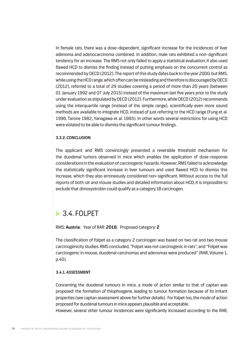In female rats, there was a dose-dependent, significant increase for the incidences of liver adenoma and adenocarcinoma combined. In addition, male rats exhibited a non-significant tendency for an increase. The RMS not only failed to apply a statistical evaluation, it also used flawed HCD to dismiss the finding instead of putting emphasis on the concurrent control as recommended by OECD (2012). The report of this study dates back to the year 2000, but RMS, while using the HCD range, which often can be misleading and therefore is discouraged by OECD (2012), referred to a total of 29 studies covering a period of more than 20 years (between 01 January 1992 and 07 July 2015) instead of the maximum last five years prior to the study under evaluation as stipulated by OECD (2012). Furthermore, while OECD (2012) recommends using the interquartile range (instead of the simple range), scientifically even more sound methods are available to integrate HCD, instead of just referring to the HCD range (Fung et al. 1996, Tarone 1982, Yanagawa et al. 1985). In other words several restrictions for using HCD were violated to be able to dismiss the significant tumour findings.

#### **3.3.2. CONCLUSION**

The applicant and RMS convincingly presented a reversible threshold mechanism for the duodenal tumors observed in mice which enables the application of dose-response considerations in the evaluation of carcinogenic hazards. However, RMS failed to acknowledge the statistically significant increase in liver tumours and used flawed HCD to dismiss this increase, which they also erroneously considered non-significant. Without access to the full reports of both rat and mouse studies and detailed information about HCD, it is impossible to exclude that dimoxystrobin could qualify as a category 1B carcinogen.

### $\geqslant$  3.4. FOI PFT

#### RMS: **Austria**; Year of RAR: **2018**; Proposed category: **2**

The classification of folpet as a category 2 carcinogen was based on two rat and two mouse carcinogenicity studies. RMS concluded, "Folpet was not carcinogenic in rats", and "Folpet was carcinogenic in mouse, duodenal carcinomas and adenomas were produced" (RAR, Volume 1, p.40).

#### **3.4.1. ASSESSMENT**

Concerning the duodenal tumours in mice, a mode of action similar to that of captan was proposed: the formation of thiophosgene, leading to tumour formation because of its irritant properties (see captan assessment above for further details). For folpet too, the mode of action proposed for duodenal tumours in mice appears plausible and acceptable.

However, several other tumour incidences were significantly increased according to the RAR,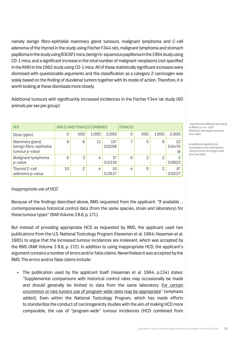namely benign fibro-epithelial mammary gland tumours, malignant lymphoma and C-cell adenoma of the thyroid in the study using Fischer F344 rats, malignant lymphoma and stomach papilloma in the study using B3C6F1 mice, benign b-squamous papilloma in the 1994 study using CD-1 mice, and a significant increase in the total number of malignant neoplasms (not specified in the RAR) in the 1982 study using CD-1 mice. All of these statistically significant increases were dismissed with questionable arguments and the classification as a category 2 carcinogen was solely based on the finding of duodenal tumors together with its mode of action. Therefore, it is worth looking at these dismissals more closely.

Additional tumours with significantly increased incidences in the Fischer F344 rat study (60 animals per sex per group)

| <b>SEX</b>                                                  | <b>MALES AND FEMALES COMBINED</b> |     |       | <b>FEMALES</b>  |   |               |       |                   |
|-------------------------------------------------------------|-----------------------------------|-----|-------|-----------------|---|---------------|-------|-------------------|
| Dose (ppm)                                                  | 0                                 | 500 | 1,000 | 2,000           | 0 | 500           | 1,000 | 2,000             |
| Mammary gland,<br>benign fibro-epithelial<br>tumour p-value | 9                                 | 6   | 11    | $15*$<br>0.0298 |   | 5             | 8     | 12<br>0.0476<br>@ |
| Malignant lymphoma<br>p-value                               | 0                                 | 3   | 4     | $5*$<br>0.0316  | Ω | $\mathcal{L}$ | 2     | 3<br>0.0923       |
| Thyroid C-cell<br>adenoma p-value                           | 10                                | っ   | 4     | 10<br>0.2637    | 4 | <sup>n</sup>  | 2     | $8*$<br>0.0227    |

*\* significantly different according to RAR at p = or < 0.05 #Cochran-Armitage trend test, one-sided*

*@ additional significance according to own calculations, using Cochran-Armitage trend test, one sided*

#### *Inappropriate use of HCD*

Because of the findings described above, RMS requested from the applicant: "If available … contemporaneous historical control data (from the same species, strain and laboratory) for these tumour types" (RAR Volume 3 B.6, p. 171).

But instead of providing appropriate HCD as requested by RMS, the applicant used two publications from the U.S. National Toxicology Program (Haseman et al. 1984; Haseman et al. 1985) to argue that the increased tumour incidences are irrelevant, which was accepted by the RMS (RAR Volume 3 B.6, p. 172). In addition to using inappropriate HCD, the applicant's argument contains a number of errors and/or false claims. Nevertheless it was accepted by the RMS. The errors and/or false claims include:

• The publication used by the applicant itself (Haseman et al. 1984, p.134) states: "Supplemental comparisons with historical control rates may occasionally be made and should generally be limited to data from the same laboratory. For certain uncommon or rare tumors use of program-wide rates may be appropriate" (emphasis added). Even within the National Toxicology Program, which has made efforts to standardize the conduct of carcinogenicity studies with the aim of making HCD more comparable, the use of "program-wide" tumour incidences (HCD combined from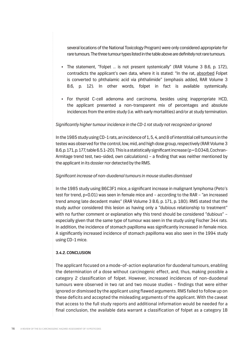several locations of the National Toxicology Program) were only considered appropriate for rare tumours. The three tumour types listed in the table above are definitely not rare tumours.

- The statement, "Folpet … is not present systemically" (RAR Volume 3 B.6, p. 172), contradicts the applicant's own data, where it is stated: "In the rat, absorbed Folpet is converted to phthalamic acid via phthalimide" (emphasis added, RAR Volume 3 B.6, p. 12). In other words, folpet in fact is available systemically.
- For thyroid C-cell adenoma and carcinoma, besides using inappropriate HCD, the applicant presented a non-transparent mix of percentages and absolute incidences from the entire study (i.e. with early mortalities) and/or at study termination.

#### *Significantly higher tumour incidence in the CD-1 rat study not recognized or ignored*

In the 1985 study using CD-1 rats, an incidence of 1, 5, 4, and 8 of interstitial cell tumours in the testes was observed for the control, low, mid, and high dose group, respectively (RAR Volume 3 B.6, p. 171, p. 177, table 6.5.1-20). This is a statistically significant increase (p = 0.0348, Cochran-Armitage trend test, two-sided, own calculations) – a finding that was neither mentioned by the applicant in its dossier nor detected by the RMS.

#### *Significant increase of non-duodenal tumours in mouse studies dismissed*

In the 1985 study using B6C3F1 mice, a significant increase in malignant lymphoma (Peto's test for trend, p<0.01) was seen in female mice and – according to the RAR – "an increased trend among late decedent males" (RAR Volume 3 B.6, p. 171, p. 180). RMS stated that the study author considered this lesion as having only a "dubious relationship to treatment" with no further comment or explanation why this trend should be considered "dubious" especially given that the same type of tumour was seen in the study using Fischer 344 rats. In addition, the incidence of stomach papilloma was significantly increased in female mice. A significantly increased incidence of stomach papilloma was also seen in the 1994 study using CD-1 mice.

#### **3.4.2. CONCLUSION**

The applicant focused on a mode-of-action explanation for duodenal tumours, enabling the determination of a dose without carcinogenic effect, and, thus, making possible a category 2 classification of folpet. However, increased incidences of non-duodenal tumours were observed in two rat and two mouse studies – findings that were either ignored or dismissed by the applicant using flawed arguments. RMS failed to follow up on these deficits and accepted the misleading arguments of the applicant. With the caveat that access to the full study reports and additional information would be needed for a final conclusion, the available data warrant a classification of folpet as a category 1B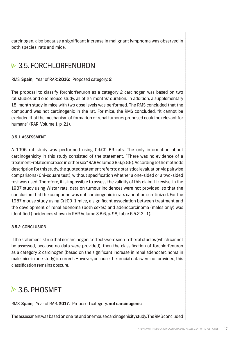carcinogen, also because a significant increase in malignant lymphoma was observed in both species, rats and mice.

### **≥ 3.5. FORCHLORFENURON**

RMS: **Spain**; Year of RAR: **2016**; Proposed category: **2**

The proposal to classify forchlorfenuron as a category 2 carcinogen was based on two rat studies and one mouse study, all of 24 months' duration. In addition, a supplementary 18-month study in mice with two dose levels was performed. The RMS concluded that the compound was not carcinogenic in the rat. For mice, the RMS concluded, "it cannot be excluded that the mechanism of formation of renal tumours proposed could be relevant for humans" (RAR, Volume 1, p. 21).

#### **3.5.1. ASSESSMENT**

A 1996 rat study was performed using Crl:CD BR rats. The only information about carcinogenicity in this study consisted of the statement, "There was no evidence of a treatment-related increase in either sex" RAR Volume 3 B.6, p. 88). According to the methods description for this study, the quoted statement refers to a statistical evaluation via pairwise comparisons (Chi-square test), without specification whether a one-sided or a two-sided test was used. Therefore, it is impossible to assess the validity of this claim. Likewise, in the 1987 study using Wistar rats, data on tumour incidences were not provided, so that the conclusion that the compound was not carcinogenic in rats cannot be scrutinized. For the 1987 mouse study using Crj:CD-1 mice, a significant association between treatment and the development of renal adenoma (both sexes) and adenocarcinoma (males only) was identified (incidences shown in RAR Volume 3 B.6, p. 98, table 6.5.2.2.-1).

#### **3.5.2. CONCLUSION**

If the statement is true that no carcinogenic effects were seen in the rat studies (which cannot be assessed, because no data were provided), then the classification of forchlorfenuron as a category 2 carcinogen (based on the significant increase in renal adenocarcinoma in male mice in one study) is correct. However, because the crucial data were not provided, this classification remains obscure.

### $\geq$  3.6. PHOSMET

RMS: **Spain**; Year of RAR: **2017**; Proposed category: **not carcinogenic**

The assessment was based on one rat and one mouse carcinogenicity study. The RMS concluded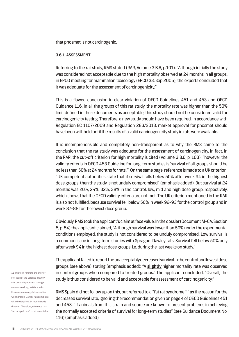that phosmet is not carcinogenic.

#### **3.6.1. ASSESSMENT**

Referring to the rat study, RMS stated (RAR, Volume 3 B.6, p.101): "Although initially the study was considered not acceptable due to the high mortality observed at 24 months in all groups, in EPCO meeting for mammalian toxicology (EPCO 33, Sep 2005), the experts concluded that it was adequate for the assessment of carcinogenicity."

This is a flawed conclusion in clear violation of OECD Guidelines 451 and 453 and OECD Guidance 116. In all the groups of this rat study, the mortality rate was higher than the 50% limit defined in these documents as acceptable, this study should not be considered valid for carcinogenicity testing. Therefore, a new study should have been required. In accordance with Regulation EC 1107/2009 and Regulation 283/2013, market approval for phosmet should have been withheld until the results of a valid carcinogenicity study in rats were available.

It is incomprehensible and completely non-transparent as to why the RMS came to the conclusion that the rat study was adequate for the assessment of carcinogenicity. In fact, in the RAR, the cut-off criterion for high mortality is cited (Volume 3 B.6, p. 103): "however the validity criteria in OECD 453 Guideline for long-term studies is 'survival of all groups should be no less than 50% at 24 months for rats'." On the same page, reference is made to a UK criterion: "UK competent authorities state that if survival falls below 50% after week 94 in the highest dose groups, then the study is not unduly compromised" (emphasis added). But survival at 24 months was 20%, 24%, 32%, 38% in the control, low, mid and high dose group, respectively, which shows that the OECD validity criteria are not met. The UK criterion mentioned in the RAR is also not fulfilled, because survival fell below 50% in week 92-93 for the control group and in week 87-88 for the lowest dose group.

Obviously, RMS took the applicant's claim at face value. In the dossier (Document M-CA, Section 5, p. 54) the applicant claimed, "Although survival was lower than 50% under the experimental conditions employed, the study is not considered to be unduly compromised. Low survival is a common issue in long-term studies with Sprague-Dawley rats. Survival fell below 50% only after week 94 in the highest dose groups, i.e. during the last weeks on study."

The applicant failed to report the unacceptably decreased survival in the control and lowest dose groups (see above) stating (emphasis added): "A **slightly** higher mortality rate was observed in control groups when compared to treated groups." The applicant concluded: "Overall, the study is thus considered to be valid and acceptable for assessment of carcinogenicity."

RMS Spain did not follow up on this, but referred to a "fat rat syndrome"12 as the reason for the decreased survival rate, ignoring the recommendation given on page 4 of OECD Guidelines 451 and 453: "If animals from this strain and source are known to present problems in achieving the normally accepted criteria of survival for long-term studies" (see Guidance Document No. 116) (emphasis added).

**12** This term refers to the shorter life-span of the Sprague-Dawley rats becoming obese at late age as compared, e.g. to Wistar rats. However, many regulatory studies with Sprague-Dawley rats compliant with the required 24 month study duration. Therefore, reference to a "fat rat syndrome" is not acceptable.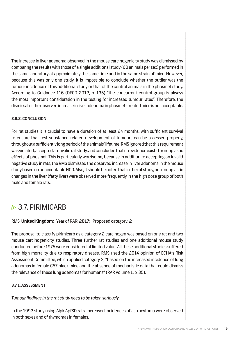The increase in liver adenoma observed in the mouse carcinogenicity study was dismissed by comparing the results with those of a single additional study (60 animals per sex) performed in the same laboratory at approximately the same time and in the same strain of mice. However, because this was only one study, it is impossible to conclude whether the outlier was the tumour incidence of this additional study or that of the control animals in the phosmet study. According to Guidance 116 (OECD 2012, p. 135) "the concurrent control group is always the most important consideration in the testing for increased tumour rates". Therefore, the dismissal of the observed increase in liver adenoma in phosmet-treated mice is not acceptable.

#### **3.6.2. CONCLUSION**

For rat studies it is crucial to have a duration of at least 24 months, with sufficient survival to ensure that test substance-related development of tumours can be assessed properly, throughout a sufficiently long period of the animals' lifetime. RMS ignored that this requirement was violated, accepted an invalid rat study, and concluded that no evidence exists for neoplastic effects of phosmet. This is particularly worrisome, because in addition to accepting an invalid negative study in rats, the RMS dismissed the observed increase in liver adenoma in the mouse study based on unacceptable HCD. Also, it should be noted that in the rat study, non-neoplastic changes in the liver (fatty liver) were observed more frequently in the high dose group of both male and female rats.

### $\geqslant$  3.7. PIRIMICARB

#### RMS: **United Kingdom**; Year of RAR: **2017**; Proposed category: **2**

The proposal to classify pirimicarb as a category 2 carcinogen was based on one rat and two mouse carcinogenicity studies. Three further rat studies and one additional mouse study conducted before 1975 were considered of limited value. All these additional studies suffered from high mortality due to respiratory disease. RMS used the 2014 opinion of ECHA's Risk Assessment Committee, which applied category 2, "based on the increased incidence of lung adenomas in female C57 black mice and the absence of mechanistic data that could dismiss the relevance of these lung adenomas for humans" (RAR Volume 1, p. 35).

#### **3.7.1. ASSESSMENT**

#### *Tumour findings in the rat study need to be taken seriously*

In the 1992 study using Alpk:ApfSD rats, increased incidences of astrocytoma were observed in both sexes and of thymomas in females.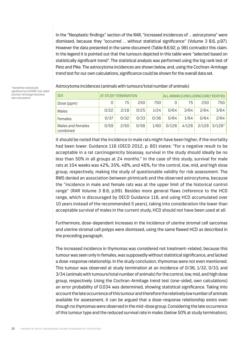In the "Neoplastic findings" section of the RAR, "increased incidences of … astrocytoma" were dismissed, because they "occurred … without statistical significance" (Volume 3 B.6, p.97). However the data presented in the same document (Table B.6.92, p. 98) contradict this claim. In the legend it is pointed out that the tumours depicted in this table were "selected based on statistically significant trend". The statistical analysis was performed using the log rank test of Peto and Pike. The astrocytoma incidences are shown below, and, using the Cochran-Armitage trend test for our own calculations, significance could be shown for the overall data set.

Dose (ppm) 0 75 250 750 0 75 250 750 Males 0/22 2/18 0/25 1/24 0/64 3/64 2/64 3/64 Females 0/37 0/32 0/33 0/36 0/64 1/64 0/64 2/64 Males and females combined 0/59 2/50 0/58 1/60 0/128 4/128 2/128 5/128\* AT STUDY TERMINATION ALL ANIMALS (INCLUDING EARLY DEATHS)

Astrocytoma incidences (animals with tumours/total number of animals)

It should be noted that the incidence in male rats might have been higher, if the mortality had been lower. Guidance 116 (OECD 2012, p. 80) states: "For a negative result to be acceptable in a rat carcinogenicity bioassay, survival in the study should ideally be no less than 50% in all groups at 24 months." In the case of this study, survival for male rats at 104 weeks was 42%, 35%, 48%, and 46%, for the control, low, mid, and high dose group, respectively, making the study of questionable validity for risk assessment. The RMS denied an association between pirimicarb and the observed astrocytoma, because the "incidence in male and female rats was at the upper limit of the historical control range" (RAR Volume 3 B.6, p.99). Besides more general flaws (reference to the HCD range, which is discouraged by OECD Guidance 116, and using HCD accumulated over 10 years instead of the recommended 5 years), taking into consideration the lower than acceptable survival of males in the current study, HCD should not have been used at all.

Furthermore, dose-dependent increases in the incidence of uterine stromal cell sarcomas and uterine stromal cell polyps were dismissed, using the same flawed HCD as described in the preceding paragraph.

The increased incidence in thymomas was considered not treatment-related, because this tumour was seen only in females, was supposedly without statistical significance, and lacked a dose-response relationship. In the study conclusion, thymomas were not even mentioned. This tumour was observed at study termination at an incidence of 0/36, 1/32, 0/33, and 3/34 (animals with tumours/total number of animals) for the control, low, mid, and high dose group, respectively. Using the Cochran-Armitage trend test (one-sided, own calculations) an error probability of 0.034 was determined, showing statistical significance. Taking into account the late occurrence of this tumour and therefore the relatively low number of animals available for assessment, it can be argued that a dose-response relationship exists even though no thymomas were observed in the mid-dose group. Considering the late occurrence of this tumour type and the reduced survival rate in males (below 50% at study termination),

*\* borderline statistically significant (p=0.0580, one-sided Cochran-Armitage trend test, Cochran-Armitage trend test,*<br> *own calculation*)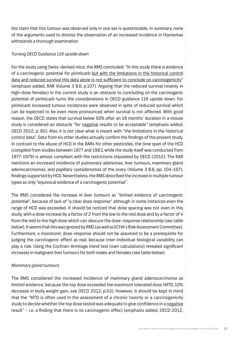the claim that this tumour was observed only in one sex is questionable. In summary, none of the arguments used to dismiss the observation of an increased incidence in thymomas withstands a thorough examination.

#### *Turning OECD Guidance 116 upside down*

For the study using Swiss-derived mice, the RMS concluded: "In this study there is evidence of a carcinogenic potential for pirimicarb but with the limitations in the historical control data and reduced survival this data alone is not sufficient to conclude on carcinogenicity" (emphasis added, RAR Volume 3 B.6, p.107). Arguing that the reduced survival (mainly in high-dose females) in the current study is an obstacle to concluding on the carcinogenic potential of pirimicarb turns the considerations in OECD guidance 116 upside down. For pirimicarb increased tumour incidences were observed in spite of reduced survival which can be expected to be even more pronounced when survival is not affected. With good reason, the OECD states that survival below 50% after an 18 months' duration in a mouse study is considered an obstacle "for negative results to be acceptable" (emphasis added, OECD 2012, p. 80). Also, it is not clear what is meant with "the limitations in the historical control data". Data from six other studies actually confirm the findings of the present study. In contrast to the abuse of HCD in the RARs for other pesticides, the time span of the HCD (compiled from studies between 1977 and 1983, while the study itself was conducted from 1977-1979) is almost compliant with the restrictions stipulated by OECD (2012). The RAR mentions an increased incidence of pulmonary adenomas, liver tumours, mammary gland adenocarcinomas, and papillary cystadenomas of the ovary (Volume 3 B.6, pp. 104-107), findings supported by HCD. Nevertheless, the RMS described the increase in multiple tumour types as only "equivocal evidence of a carcinogenic potential".

The RMS considered the increase in liver tumours as "limited evidence of carcinogenic potential", because of lack of "a clear dose response" although in some instances even the range of HCD was exceeded. It should be noticed that dose spacing was not even in this study, with a dose increase by a factor of 2 from the low to the mid dose and by a factor of 4 from the mid to the high dose which can obscure the dose-response relationship (see table below). It seems that this was ignored by RMS (as well as ECHA's Risk Assessment Committee). Furthermore, a monotonic dose-response should not be assumed to be a prerequisite for judging the carcinogenic effect as real, because inter-individual biological variability can play a role. Using the Cochran-Armitage trend test (own calculations) revealed significant increases in malignant liver tumours for both males and females (see table below).

#### *Mammary gland tumours*

The RMS considered the increased incidence of mammary gland adenocarcinoma as limited evidence, because the top dose exceeded the maximum tolerated dose (MTD, 10% decrease in body weight gain, see OECD 2012, p.53). However, it should be kept in mind that the "MTD is often used in the assessment of a chronic toxicity or a carcinogenicity study to decide whether the top dose tested was adequate to give confidence in a negative result" – i.e. a finding that there is no carcinogenic effect (emphasis added, OECD 2012,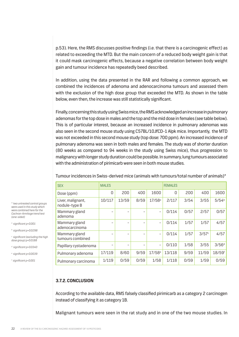p.53). Here, the RMS discusses positive findings (i.e. that there is a carcinogenic effect) as related to exceeding the MTD. But the main concern of a reduced body weight gain is that it could mask carcinogenic effects, because a negative correlation between body weight gain and tumour incidence has repeatedly beed described.

In addition, using the data presented in the RAR and following a common approach, we combined the incidences of adenoma and adenocarcinoma tumours and assessed them with the exclusion of the high dose group that exceeded the MTD. As shown in the table below, even then, the increase was still statistically significant.

Finally, concerning this study using Swiss mice, the RMS acknowledged an increase in pulmonary adenomas for the top dose in males and the top and the mid dose in females (see table below). This is of particular interest, because an increased incidence in pulmonary adenomas was also seen in the second mouse study using C57BL/10JfCD-1 Alpk mice. Importantly, the MTD was not exceeded in this second mouse study (top dose: 700 ppm). An increased incidence of pulmonary adenoma was seen in both males and females. The study was of shorter duration (80 weeks as compared to 94 weeks in the study using Swiss mice), thus progression to malignancy with longer study duration could be possible. In summary, lung tumours associated with the administration of pirimicarb were seen in both mouse studies.

| <b>SEX</b>                         | <b>MALES</b> |          |      |                          | <b>FEMALES</b> |      |       |                   |
|------------------------------------|--------------|----------|------|--------------------------|----------------|------|-------|-------------------|
| Dose (ppm)                         | 0            | 200      | 400  | 1600                     | 0              | 200  | 400   | 1600              |
| Liver, malignant,<br>nodule-type B | 10/117       | 13/59    | 8/59 | $17/58$ <sup>a</sup>     | 2/117          | 3/54 | 3/55  | $5/54^{b}$        |
| Mammary gland<br>adenoma           |              | -        |      |                          | 0/114          | 0/57 | 2/57  | 0/57              |
| Mammary gland<br>adenocarcinoma    |              | -        |      | $\overline{\phantom{0}}$ | 0/114          | 1/57 | 1/57  | 4/57              |
| Mammary gland<br>tumours combined  |              | $\equiv$ |      | $\overline{\phantom{0}}$ | 0/114          | 1/57 | 3/57c | 4/57              |
| Papillary cystadenoma              |              |          |      | $\overline{\phantom{0}}$ | 0/110          | 1/58 | 3/55  | 3/56 <sup>d</sup> |
| Pulmonary adenoma                  | 17/119       | 8/60     | 9/59 | $17/58^e$                | 13/118         | 9/59 | 11/59 | 18/59f            |
| Pulmonary carcinoma                | 1/119        | 0/59     | 0/59 | 1/58                     | 1/118          | 0/59 | 1/59  | 0/59              |

Tumour incidences in Swiss-derived mice (animals with tumours/total number of animals)\*

#### **3.7.2. CONCLUSION**

According to the available data, RMS falsely classified pirimicarb as a category 2 carcinogen instead of classifying it as category 1B.

Malignant tumours were seen in the rat study and in one of the two mouse studies. In

*\* two untreated control groups were used in this study which were combined here for the Cochran-Armitage trend test (one-sided)*

*a significant p<0.001*

*b significant p=0.0298*

*c significant (excluding the high dose group) p=0.0188*

*d significant p=0.0340*

*e significant p=0.0039*

*f significant p<0.001*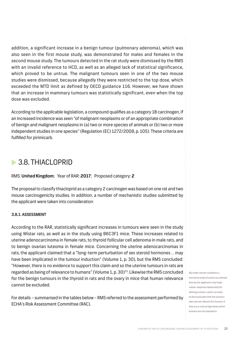addition, a significant increase in a benign tumour (pulmonary adenoma), which was also seen in the first mouse study, was demonstrated for males and females in the second mouse study. The tumours detected in the rat study were dismissed by the RMS with an invalid reference to HCD, as well as an alleged lack of statistical significance, which proved to be untrue. The malignant tumours seen in one of the two mouse studies were dismissed, because allegedly they were restricted to the top dose, which exceeded the MTD limit as defined by OECD guidance 116. However, we have shown that an increase in mammary tumours was statistically significant, even when the top dose was excluded.

According to the applicable legislation, a compound qualifies as a category 1B carcinogen, if an increased incidence was seen "of malignant neoplasms or of an appropriate combination of benign and malignant neoplasms in (a) two or more species of animals or (b) two or more independent studies in one species" (Regulation (EC) 1272/2008, p. 105). These criteria are fulfilled for pirimicarb.

### $\geqslant$  3.8. THIACLOPRID

RMS: **United Kingdom**; Year of RAR: **2017**; Proposed category: **2**

The proposal to classify thiacloprid as a category 2 carcinogen was based on one rat and two mouse carcinogenicity studies. In addition, a number of mechanistic studies submitted by the applicant were taken into consideration

#### **3.8.1. ASSESSMENT**

According to the RAR, statistically significant increases in tumours were seen in the study using Wistar rats, as well as in the study using B6C3F1 mice. These increases related to uterine adenocarcinoma in female rats, to thyroid follicular cell adenoma in male rats, and to benign ovarian luteoma in female mice. Concerning the uterine adenocarcinomas in rats, the applicant claimed that a "long-term perturbation of sex steroid hormones … may have been implicated in the tumour induction" (Volume 1, p. 30), but the RMS concluded: "However, there is no evidence to support this claim and so the uterine tumours in rats are regarded as being of relevance to humans" (Volume 1, p. 30)<sup>13</sup>. Likewise the RMS concluded for the benign tumours in the thyroid in rats and the ovary in mice that human relevance cannot be excluded.

For details – summarised in the tables below – RMS referred to the assessment performed by ECHA's Risk Assessment Committee (RAC).

**13** Under certain conditions a hormonal mode of action (as claimed here by the applicant) may imply a dose-response relationship for eliciting tumours, which can lead to the conclusion that the tumours seen are not relevant for humans, if they occur only at high doses which humans are not exposed to.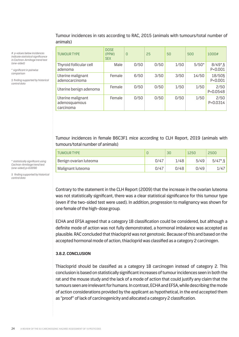*# p-values below incidences indicate statistical significance in Cochran-Armitage trend test (one-sided)*

*\* significant in pairwise comparison*

*§ finding supported by historical control data*

Tumour incidences in rats according to RAC, 2015 (animals with tumours/total number of animals)

| <b>TUMOUR TYPE</b>                              | <b>DOSE</b><br>(PPM)<br><b>SEX</b> | $\Omega$ | 25   | 50   | 500     | 1000#                                |
|-------------------------------------------------|------------------------------------|----------|------|------|---------|--------------------------------------|
| Thyroid follicular cell<br>adenoma              | Male                               | 0/50     | 0/50 | 1/50 | $5/50*$ | $8/49$ <sup>*</sup> , §<br>P < 0.001 |
| Uterine malignant<br>adenocarcinoma             | Female                             | 6/50     | 3/50 | 3/50 | 14/50   | 18/50§<br>P < 0.001                  |
| Uterine benign adenoma                          | Female                             | 0/50     | 0/50 | 1/50 | 1/50    | 2/50<br>$P = 0.0548$                 |
| Uterine malignant<br>adenosquamous<br>carcinoma | Female                             | 0/50     | 0/50 | 0/50 | 1/50    | 2/50<br>$P = 0.0314$                 |

Tumour incidences in female B6C3F1 mice according to CLH Report, 2019 (animals with tumours/total number of animals)

| <b>TUMOUR TYPE</b>     |      | 30   | 1250 | 2500                   |
|------------------------|------|------|------|------------------------|
| Benign ovarian luteoma | 0/47 | 1/48 | 5/49 | $5/47$ <sup>*</sup> .§ |
| Malignant luteoma      | 0/47 | 0/48 | 0/49 | 1/47                   |

*\* statistically significant using Cochran-Armitage trend test (one-sided) p=0.0090*

*§ finding supported by historical control data*

> Contrary to the statement in the CLH Report (2009) that the increase in the ovarian luteoma was not statistically significant, there was a clear statistical significance for this tumour type (even if the two-sided test were used). In addition, progression to malignancy was shown for one female of the high-dose group.

> ECHA and EFSA agreed that a category 1B classification could be considered, but although a definite mode of action was not fully demonstrated, a hormonal imbalance was accepted as plausible. RAC concluded that thiacloprid was not genotoxic. Because of this and based on the accepted hormonal mode of action, thiacloprid was classified as a category 2 carcinogen.

#### **3.8.2. CONCLUSION**

Thiacloprid should be classified as a category 1B carcinogen instead of category 2. This conclusion is based on statistically significant increases of tumour incidences seen in both the rat and the mouse study and the lack of a mode of action that could justify any claim that the tumours seen are irrelevant for humans. In contrast, ECHA and EFSA, while describing the mode of action considerations provided by the applicant as hypothetical, in the end accepted them as "proof" of lack of carcinogenicity and allocated a category 2 classification.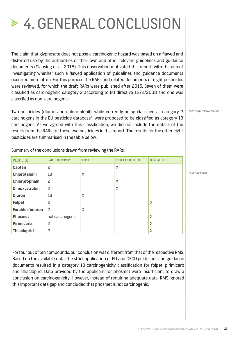## **≥ 4. GENERAL CONCLUSION**

The claim that glyphosate does not pose a carcinogenic hazard was based on a flawed and distorted use by the authorities of their own and other relevant guidelines and guidance documents (Clausing et al. 2018). This observation motivated this report, with the aim of investigating whether such a flawed application of guidelines and guidance documents occurred more often. For this purpose the RARs and related documents of eight pesticides were reviewed, for which the draft RARs were published after 2015. Seven of them were classified as carcinogenic category 2 according to EU directive 1272/2008 and one was classified as non-carcinogenic.

Two pesticides (diuron and chlorotalonil), while currently being classified as category 2 carcinogens in the EU pesticide database\*, were proposed to be classified as category 1B carcinogens. As we agreed with this classification, we did not include the details of the results from the RARs for these two pesticides in this report. The results for the other eight pesticides are summarised in the table below.

| <b>PESTICIDE</b>       | <b>CATEGORY IN RAR*</b> | <b>AGREED</b> | <b>INSUFFICIENT DETAIL</b> | <b>DISAGREED</b> |
|------------------------|-------------------------|---------------|----------------------------|------------------|
| Captan                 | 2                       |               | X                          |                  |
| <b>Chlorotalonil</b>   | 1B                      | X             |                            |                  |
| Chlorpropham           | 2                       |               | X                          |                  |
| Dimoxystrobin          | $\overline{c}$          |               | X                          |                  |
| <b>Diuron</b>          | 1B                      | X             |                            |                  |
| <b>Folpet</b>          | 2                       |               |                            | X                |
| <b>Forchlorfenuron</b> | 2                       | X             |                            |                  |
| <b>Phosmet</b>         | not carcinogenic        |               |                            | X                |
| <b>Pirimicarb</b>      | $\overline{c}$          |               |                            | X                |
| <b>Thiacloprid</b>     | 2                       |               |                            | X                |

Summary of the conclusions drawn from reviewing the RARs.

For four out of ten compounds, our conclusion was different from that of the respective RMS. Based on the available data, the strict application of EU and OECD guidelines and guidance documents resulted in a category 1B carcinogenicity classification for folpet, pirimicarb and thiacloprid. Data provided by the applicant for phosmet were insufficient to draw a conclusion on carcinogenicity. However, instead of requiring adequate data, RMS ignored this important data gap and concluded that phosmet is not carcinogenic.

*\* See Appendix I*

*<sup>\*</sup> See http://bit.ly/2Bi5RcX*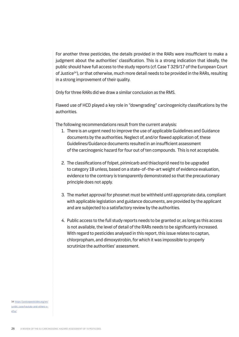For another three pesticides, the details provided in the RARs were insufficient to make a judgment about the authorities' classification. This is a strong indication that ideally, the public should have full access to the study reports (cf. Case T 329/17 of the European Court of Justice14), or that otherwise, much more detail needs to be provided in the RARs, resulting in a strong improvement of their quality.

Only for three RARs did we draw a similar conclusion as the RMS.

Flawed use of HCD played a key role in "downgrading" carcinogenicity classifications by the authorities.

The following recommendations result from the current analysis:

- 1. There is an urgent need to improve the use of applicable Guidelines and Guidance documents by the authorities. Neglect of, and/or flawed application of, these Guidelines/Guidance documents resulted in an insufficient assessment of the carcinogenic hazard for four out of ten compounds. This is not acceptable.
- 2. The classifications of folpet, pirimicarb and thiacloprid need to be upgraded to category 1B unless, based on a state-of-the-art weight of evidence evaluation, evidence to the contrary is transparently demonstrated so that the precautionary principle does not apply.
- 3. The market approval for phosmet must be withheld until appropriate data, compliant with applicable legislation and guidance documents, are provided by the applicant and are subjected to a satisfactory review by the authorities.
- 4. Public access to the full study reports needs to be granted or, as long as this access is not available, the level of detail of the RARs needs to be significantly increased. With regard to pesticides analysed in this report, this issue relates to captan, chlorpropham, and dimoxystrobin, for which it was impossible to properly scrutinize the authorities' assessment.

**14** https://justicepesticides.org/en/ juridic\_case/hautala-and-others-vefsa/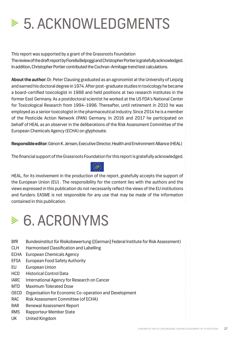## **≥ 5. ACKNOWLEDGMENTS**

This report was supported by a grant of the Grassroots Foundation

The review of the draft report by Fiorella Belpoggi and Christopher Portier is gratefully acknowledged. In addition, Christopher Portier contributed the Cochran-Armitage trend test calculations.

**About the author:** Dr. Peter Clausing graduated as an agronomist at the University of Leipzig and earned his doctoral degree in 1974. After post-graduate studies in toxicology he became a board-certified toxicologist in 1988 and held positions at two research institutes in the former East Germany. As a postdoctoral scientist he worked at the US FDA's National Center for Toxicological Research from 1994–1996. Thereafter, until retirement in 2010 he was employed as a senior toxicologist in the pharmaceutical industry. Since 2014 he is a member of the Pesticide Action Network (PAN) Germany. In 2016 and 2017 he participated on behalf of HEAL as an observer in the deliberations of the Risk Assessment Committee of the European Chemicals Agency (ECHA) on glyphosate.

**Responsible editor:** Génon K. Jensen, Executive Director, Health and Environment Alliance (HEAL)

The financial support of the Grassroots Foundation for this report is gratefully acknowledged.



HEAL, for its involvement in the production of the report, gratefully accepts the support of the European Union (EU) . The responsibility for the content lies with the authors and the views expressed in this publication do not necessarily reflect the views of the EU institutions and funders. EASME is not responsible for any use that may be made of the information contained in this publication.

## **≥ 6. ACRONYMS**

- BfR Bundesinstitut für Risikobewertung ([German] Federal Institute for Risk Assessment)
- CLH Harmonised Classification and Labelling
- ECHA European Chemicals Agency
- EFSA European Food Safety Authority
- EU European Union
- HCD Historical Control Data
- IARC International Agency for Research on Cancer
- MTD Maximum Tolerated Dose
- OECD Organisation for Economic Co-operation and Development
- RAC Risk Assessment Committee (of ECHA)
- RAR Renewal Assessment Report
- RMS Rapporteur Member State
- UK United Kingdom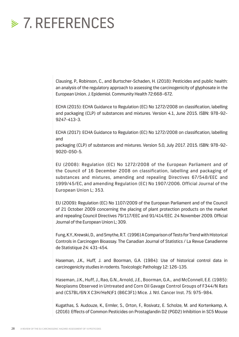## **≥ 7. REFERENCES**

Clausing, P., Robinson, C., and Burtscher-Schaden, H. (2018): Pesticides and public health: an analysis of the regulatory approach to assessing the carcinogenicity of glyphosate in the European Union. J. Epidemiol. Community Health 72:668–672.

ECHA (2015): ECHA Guidance to Regulation (EC) No 1272/2008 on classification, labelling and packaging (CLP) of substances and mixtures. Version 4.1, June 2015. ISBN: 978-92- 9247-413-3.

ECHA (2017): ECHA Guidance to Regulation (EC) No 1272/2008 on classification, labelling and

packaging (CLP) of substances and mixtures. Version 5.0, July 2017. 2015. ISBN: 978-92- 9020-050-5.

EU (2008): Regulation (EC) No 1272/2008 of the European Parliament and of the Council of 16 December 2008 on classification, labelling and packaging of substances and mixtures, amending and repealing Directives 67/548/EEC and 1999/45/EC, and amending Regulation (EC) No 1907/2006. Official Journal of the European Union L; 353.

EU (2009): Regulation (EC) No 1107/2009 of the European Parliament and of the Council of 21 October 2009 concerning the placing of plant protection products on the market and repealing Council Directives 79/117/EEC and 91/414/EEC. 24 November 2009. Official Journal of the European Union L; 309.

Fung, K.Y., Krewski, D., and Smythe, R.T. (1996) A Comparison of Tests for Trend with Historical Controls in Carcinogen Bioassay. The Canadian Journal of Statistics / La Revue Canadienne de Statistique 24: 431-454.

Haseman, J.K., Huff, J. and Boorman, G.A. (1984): Use of historical control data in carcinogenicity studies in rodents. Toxicologic Pathology 12: 126-135.

Haseman, J.K., Huff, J., Rao, G.N., Arnold, J.E., Boorman, G.A., and McConnell, E.E. (1985): Neoplasms Observed in Untreated and Corn Oil Gavage Control Groups of F344/N Rats and (CS7BL/6N X C3H/HeN)F1 (B6C3F1) Mice. J. Ntl. Cancer Inst. 75: 975-984.

Kugathas, S. Audouze, K., Ermler, S., Orton, F., Rosivatz, E. Scholze, M. and Kortenkamp, A. (2016): Effects of Common Pesticides on Prostaglandin D2 (PGD2) Inhibition in SC5 Mouse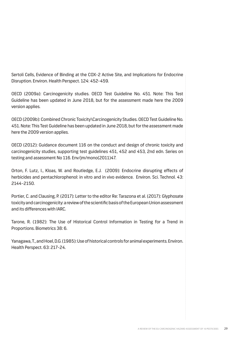Sertoli Cells, Evidence of Binding at the COX-2 Active Site, and Implications for Endocrine Disruption. Environ. Health Perspect. 124: 452-459.

OECD (2009a): Carcinogenicity studies. OECD Test Guideline No. 451. Note: This Test Guideline has been updated in June 2018, but for the assessment made here the 2009 version applies.

OECD (2009b): Combined Chronic Toxicity\Carcinogenicity Studies. OECD Test Guideline No. 451. Note: This Test Guideline has been updated in June 2018, but for the assessment made here the 2009 version applies.

OECD (2012): Guidance document 116 on the conduct and design of chronic toxicity and carcinogenicity studies, supporting test guidelines 451, 452 and 453, 2nd edn. Series on testing and assessment No 116. Env/jm/mono(2011)47.

Orton, F. Lutz, I., Kloas, W. and Routledge, E.J. (2009): Endocrine disrupting effects of herbicides and pentachlorophenol: in vitro and in vivo evidence. Environ. Sci. Technol. 43: 2144-2150.

Portier, C. and Clausing, P. (2017): Letter to the editor Re: Tarazona et al. (2017): Glyphosate toxicity and carcinogenicity: a review of the scientific basis of the European Union assessment and its differences with IARC.

Tarone, R. (1982): The Use of Historical Control Information in Testing for a Trend in Proportions. Biometrics 38: 6.

Yanagawa, T., and Hoel, D.G. (1985): Use of historical controls for animal experiments. Environ. Health Perspect. 63: 217-24.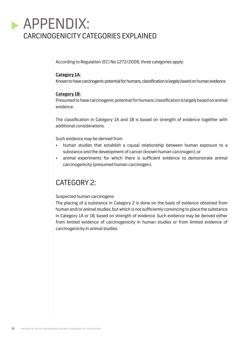## APPENDIX: CARCINOGENICITY CATEGORIES EXPLAINED

According to Regulation (EC) No 1272/2008, three categories apply:

#### **Category 1A:**

Known to have carcinogenic potential for humans, classification is largely based on human evidence

#### **Category 1B:**

Presumed to have carcinogenic potential for humans, classification is largely based on animal evidence.

The classification in Category 1A and 1B is based on strength of evidence together with additional considerations.

Such evidence may be derived from

- human studies that establish a causal relationship between human exposure to a substance and the development of cancer (known human carcinogen); or
- animal experiments for which there is sufficient evidence to demonstrate animal carcinogenicity (presumed human carcinogen).

### CATEGORY 2:

#### Suspected human carcinogens

The placing of a substance in Category 2 is done on the basis of evidence obtained from human and/or animal studies, but which is not sufficiently convincing to place the substance in Category 1A or 1B, based on strength of evidence. Such evidence may be derived either from limited evidence of carcinogenicity in human studies or from limited evidence of carcinogenicity in animal studies.